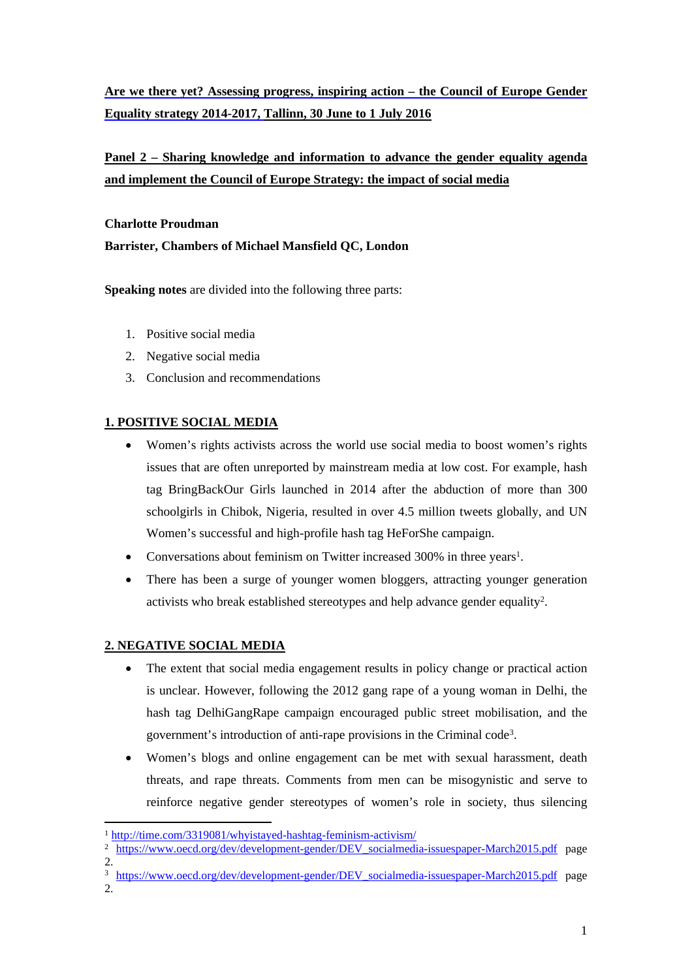# **Are we there yet? Assessing progress, inspiring action – the Council of Europe Gender Equality strategy 2014-2017, Tallinn, 30 June to 1 July 2016**

# **Panel 2 – Sharing knowledge and information to advance the gender equality agenda and implement the Council of Europe Strategy: the impact of social media**

**Charlotte Proudman Barrister, Chambers of Michael Mansfield QC, London**

**Speaking notes** are divided into the following three parts:

- 1. Positive social media
- 2. Negative social media
- 3. Conclusion and recommendations

## **1. POSITIVE SOCIAL MEDIA**

- Women's rights activists across the world use social media to boost women's rights issues that are often unreported by mainstream media at low cost. For example, hash tag BringBackOur Girls launched in 2014 after the abduction of more than 300 schoolgirls in Chibok, Nigeria, resulted in over 4.5 million tweets globally, and UN Women's successful and high-profile hash tag HeForShe campaign.
- Conversations about feminism on Twitter increased 300% in three years<sup>1</sup>.
- There has been a surge of younger women bloggers, attracting younger generation activists who break established stereotypes and help advance gender equality<sup>2</sup>.

### **2. NEGATIVE SOCIAL MEDIA**

- The extent that social media engagement results in policy change or practical action is unclear. However, following the 2012 gang rape of a young woman in Delhi, the hash tag DelhiGangRape campaign encouraged public street mobilisation, and the government's introduction of anti-rape provisions in the Criminal code<sup>3</sup>.
- Women's blogs and online engagement can be met with sexual harassment, death threats, and rape threats. Comments from men can be misogynistic and serve to reinforce negative gender stereotypes of women's role in society, thus silencing

- <sup>3</sup> [https://www.oecd.org/dev/development-gender/DEV\\_socialmedia-issuespaper-March2015.pdf](https://www.oecd.org/dev/development-gender/DEV_socialmedia-issuespaper-March2015.pdf) page
- 2.

<sup>1</sup> <http://time.com/3319081/whyistayed-hashtag-feminism-activism/>

<sup>&</sup>lt;sup>2</sup> [https://www.oecd.org/dev/development-gender/DEV\\_socialmedia-issuespaper-March2015.pdf](https://www.oecd.org/dev/development-gender/DEV_socialmedia-issuespaper-March2015.pdf) page 2.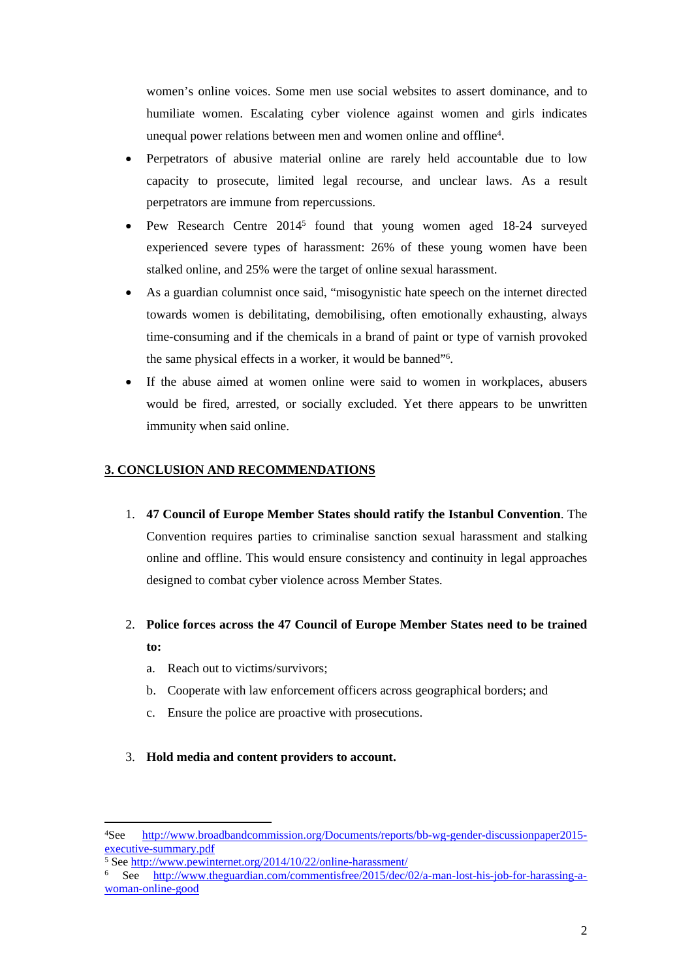women's online voices. Some men use social websites to assert dominance, and to humiliate women. Escalating cyber violence against women and girls indicates unequal power relations between men and women online and offline<sup>4</sup> .

- Perpetrators of abusive material online are rarely held accountable due to low capacity to prosecute, limited legal recourse, and unclear laws. As a result perpetrators are immune from repercussions.
- Pew Research Centre 2014<sup>5</sup> found that young women aged 18-24 surveyed experienced severe types of harassment: 26% of these young women have been stalked online, and 25% were the target of online sexual harassment.
- As a guardian columnist once said, "misogynistic hate speech on the internet directed towards women is debilitating, demobilising, often emotionally exhausting, always time-consuming and if the chemicals in a brand of paint or type of varnish provoked the same physical effects in a worker, it would be banned"<sup>6</sup> .
- If the abuse aimed at women online were said to women in workplaces, abusers would be fired, arrested, or socially excluded. Yet there appears to be unwritten immunity when said online.

### **3. CONCLUSION AND RECOMMENDATIONS**

- 1. **47 Council of Europe Member States should ratify the Istanbul Convention**. The Convention requires parties to criminalise sanction sexual harassment and stalking online and offline. This would ensure consistency and continuity in legal approaches designed to combat cyber violence across Member States.
- 2. **Police forces across the 47 Council of Europe Member States need to be trained to:**
	- a. Reach out to victims/survivors;
	- b. Cooperate with law enforcement officers across geographical borders; and
	- c. Ensure the police are proactive with prosecutions.
- 3. **Hold media and content providers to account.**

<sup>4</sup>See [http://www.broadbandcommission.org/Documents/reports/bb-wg-gender-discussionpaper2015](http://www.broadbandcommission.org/Documents/reports/bb-wg-gender-discussionpaper2015-executive-summary.pdf) [executive-summary.pdf](http://www.broadbandcommission.org/Documents/reports/bb-wg-gender-discussionpaper2015-executive-summary.pdf)

<sup>5</sup> See <http://www.pewinternet.org/2014/10/22/online-harassment/>

<sup>6</sup> See [http://www.theguardian.com/commentisfree/2015/dec/02/a-man-lost-his-job-for-harassing-a](http://www.theguardian.com/commentisfree/2015/dec/02/a-man-lost-his-job-for-harassing-a-woman-online-good)[woman-online-good](http://www.theguardian.com/commentisfree/2015/dec/02/a-man-lost-his-job-for-harassing-a-woman-online-good)